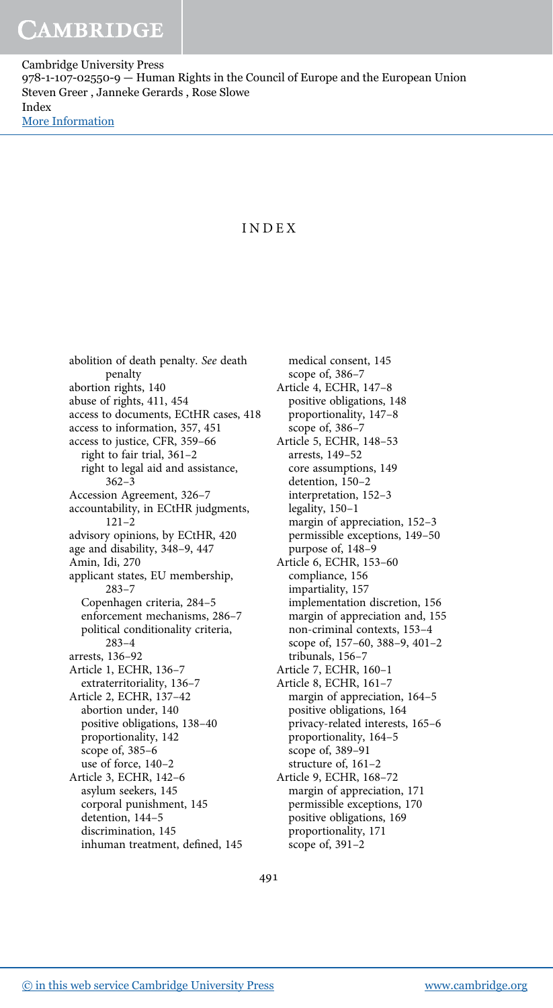# INDEX

abolition of death penalty. See death penalty abortion rights, 140 abuse of rights, 411, 454 access to documents, ECtHR cases, 418 access to information, 357, 451 access to justice, CFR, 359–66 right to fair trial, 361–2 right to legal aid and assistance, 362–3 Accession Agreement, 326–7 accountability, in ECtHR judgments, 121–2 advisory opinions, by ECtHR, 420 age and disability, 348–9, 447 Amin, Idi, 270 applicant states, EU membership, 283–7 Copenhagen criteria, 284–5 enforcement mechanisms, 286–7 political conditionality criteria, 283–4 arrests, 136–92 Article 1, ECHR, 136–7 extraterritoriality, 136–7 Article 2, ECHR, 137–42 abortion under, 140 positive obligations, 138–40 proportionality, 142 scope of, 385–6 use of force, 140–2 Article 3, ECHR, 142–6 asylum seekers, 145 corporal punishment, 145 detention, 144–5 discrimination, 145 inhuman treatment, defined, 145

medical consent, 145 scope of, 386–7 Article 4, ECHR, 147–8 positive obligations, 148 proportionality, 147–8 scope of, 386–7 Article 5, ECHR, 148–53 arrests, 149–52 core assumptions, 149 detention, 150–2 interpretation, 152–3 legality, 150–1 margin of appreciation, 152–3 permissible exceptions, 149–50 purpose of, 148–9 Article 6, ECHR, 153–60 compliance, 156 impartiality, 157 implementation discretion, 156 margin of appreciation and, 155 non-criminal contexts, 153–4 scope of, 157–60, 388–9, 401–2 tribunals, 156–7 Article 7, ECHR, 160–1 Article 8, ECHR, 161–7 margin of appreciation, 164–5 positive obligations, 164 privacy-related interests, 165–6 proportionality, 164–5 scope of, 389–91 structure of, 161–2 Article 9, ECHR, 168–72 margin of appreciation, 171 permissible exceptions, 170 positive obligations, 169 proportionality, 171 scope of, 391–2

491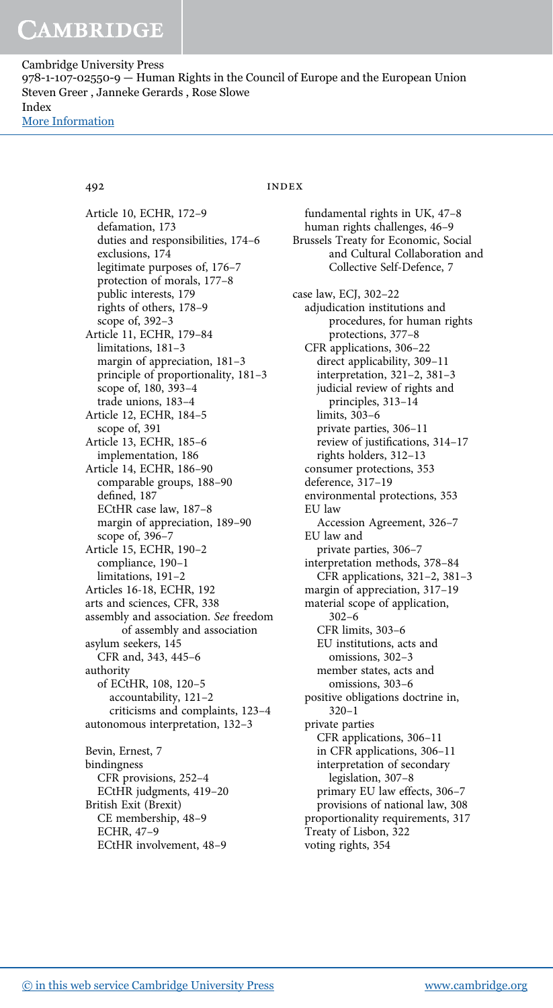Article 10, ECHR, 172–9 defamation, 173 duties and responsibilities, 174–6 exclusions, 174 legitimate purposes of, 176–7 protection of morals, 177–8 public interests, 179 rights of others, 178–9 scope of, 392–3 Article 11, ECHR, 179–84 limitations, 181–3 margin of appreciation, 181–3 principle of proportionality, 181–3 scope of, 180, 393–4 trade unions, 183–4 Article 12, ECHR, 184–5 scope of, 391 Article 13, ECHR, 185–6 implementation, 186 Article 14, ECHR, 186–90 comparable groups, 188–90 defined, 187 ECtHR case law, 187–8 margin of appreciation, 189–90 scope of, 396–7 Article 15, ECHR, 190–2 compliance, 190–1 limitations, 191–2 Articles 16-18, ECHR, 192 arts and sciences, CFR, 338 assembly and association. See freedom of assembly and association asylum seekers, 145 CFR and, 343, 445–6 authority of ECtHR, 108, 120–5 accountability, 121–2 criticisms and complaints, 123–4 autonomous interpretation, 132–3 Bevin, Ernest, 7 bindingness CFR provisions, 252–4 ECtHR judgments, 419–20 British Exit (Brexit) CE membership, 48–9 ECHR, 47–9

# 492 INDEX

fundamental rights in UK, 47–8 human rights challenges, 46–9 Brussels Treaty for Economic, Social and Cultural Collaboration and Collective Self-Defence, 7 case law, ECJ, 302–22 adjudication institutions and procedures, for human rights protections, 377–8 CFR applications, 306–22 direct applicability, 309–11 interpretation, 321–2, 381–3 judicial review of rights and principles, 313–14 limits, 303–6 private parties, 306–11 review of justifications, 314–17 rights holders, 312–13 consumer protections, 353 deference, 317–19 environmental protections, 353 EU law Accession Agreement, 326–7 EU law and private parties, 306–7 interpretation methods, 378–84 CFR applications, 321–2, 381–3 margin of appreciation, 317–19 material scope of application, 302–6 CFR limits, 303–6 EU institutions, acts and omissions, 302–3 member states, acts and omissions, 303–6 positive obligations doctrine in, 320–1 private parties CFR applications, 306–11 in CFR applications, 306–11 interpretation of secondary legislation, 307–8 primary EU law effects, 306–7 provisions of national law, 308 proportionality requirements, 317 Treaty of Lisbon, 322 voting rights, 354

ECtHR involvement, 48–9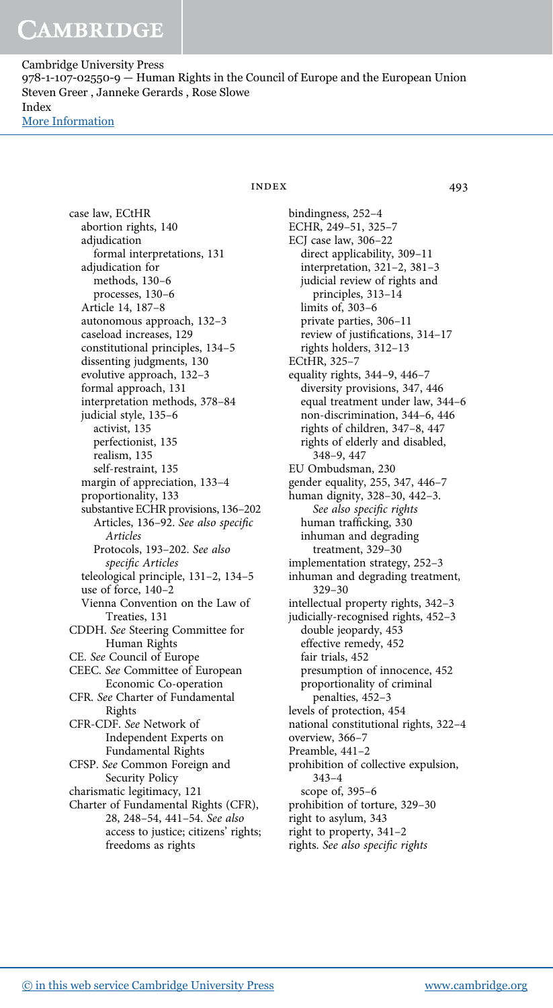> case law, ECtHR abortion rights, 140 adjudication formal interpretations, 131 adjudication for methods, 130–6 processes, 130–6 Article 14, 187–8 autonomous approach, 132–3 caseload increases, 129 constitutional principles, 134–5 dissenting judgments, 130 evolutive approach, 132–3 formal approach, 131 interpretation methods, 378–84 judicial style, 135–6 activist, 135 perfectionist, 135 realism, 135 self-restraint, 135 margin of appreciation, 133–4 proportionality, 133 substantive ECHR provisions, 136–202 Articles, 136–92. See also specific Articles Protocols, 193–202. See also specific Articles teleological principle, 131–2, 134–5 use of force, 140–2 Vienna Convention on the Law of Treaties, 131 CDDH. See Steering Committee for Human Rights CE. See Council of Europe CEEC. See Committee of European Economic Co-operation CFR. See Charter of Fundamental Rights CFR-CDF. See Network of Independent Experts on Fundamental Rights CFSP. See Common Foreign and Security Policy charismatic legitimacy, 121 Charter of Fundamental Rights (CFR), 28, 248–54, 441–54. See also access to justice; citizens' rights; freedoms as rights

# $INDEX$  493

bindingness, 252–4 ECHR, 249–51, 325–7 ECJ case law, 306–22 direct applicability, 309–11 interpretation, 321–2, 381–3 judicial review of rights and principles, 313–14 limits of, 303–6 private parties, 306–11 review of justifications, 314–17 rights holders, 312–13 ECtHR, 325–7 equality rights, 344–9, 446–7 diversity provisions, 347, 446 equal treatment under law, 344–6 non-discrimination, 344–6, 446 rights of children, 347–8, 447 rights of elderly and disabled, 348–9, 447 EU Ombudsman, 230 gender equality, 255, 347, 446–7 human dignity, 328–30, 442–3. See also specific rights human trafficking, 330 inhuman and degrading treatment, 329–30 implementation strategy, 252–3 inhuman and degrading treatment, 329–30 intellectual property rights, 342–3 judicially-recognised rights, 452–3 double jeopardy, 453 effective remedy, 452 fair trials, 452 presumption of innocence, 452 proportionality of criminal penalties, 452–3 levels of protection, 454 national constitutional rights, 322–4 overview, 366–7 Preamble, 441–2 prohibition of collective expulsion, 343–4 scope of, 395–6 prohibition of torture, 329–30 right to asylum, 343 right to property, 341–2 rights. See also specific rights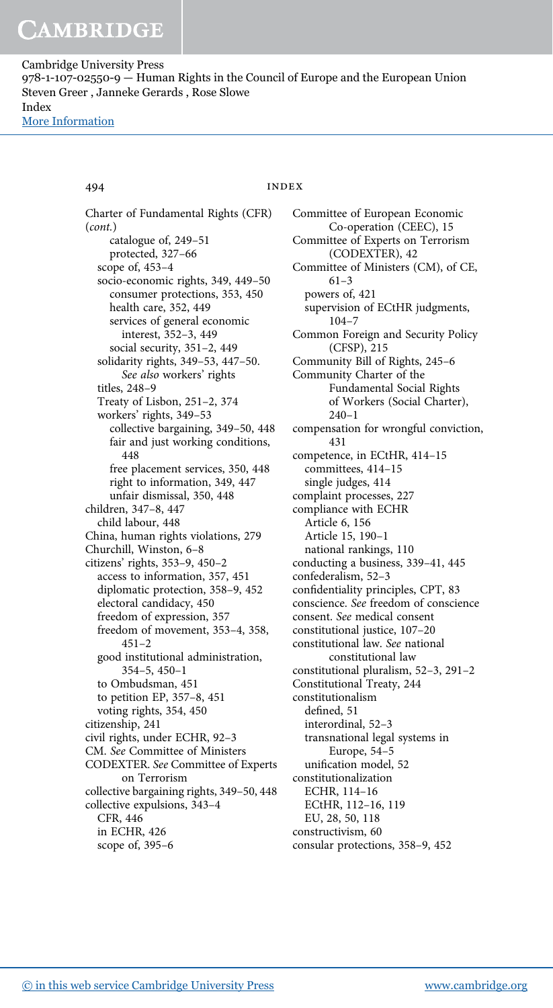# 494 INDEX

Charter of Fundamental Rights (CFR) (cont.) catalogue of, 249–51 protected, 327–66 scope of, 453–4 socio-economic rights, 349, 449–50 consumer protections, 353, 450 health care, 352, 449 services of general economic interest, 352–3, 449 social security, 351–2, 449 solidarity rights, 349–53, 447–50. See also workers' rights titles, 248–9 Treaty of Lisbon, 251–2, 374 workers' rights, 349–53 collective bargaining, 349–50, 448 fair and just working conditions, 448 free placement services, 350, 448 right to information, 349, 447 unfair dismissal, 350, 448 children, 347–8, 447 child labour, 448 China, human rights violations, 279 Churchill, Winston, 6–8 citizens' rights, 353–9, 450–2 access to information, 357, 451 diplomatic protection, 358–9, 452 electoral candidacy, 450 freedom of expression, 357 freedom of movement, 353–4, 358,  $451 - 2$ good institutional administration, 354–5, 450–1 to Ombudsman, 451 to petition EP, 357–8, 451 voting rights, 354, 450 citizenship, 241 civil rights, under ECHR, 92–3 CM. See Committee of Ministers CODEXTER. See Committee of Experts on Terrorism collective bargaining rights, 349–50, 448 collective expulsions, 343–4 CFR, 446 in ECHR, 426 scope of, 395–6

Committee of European Economic Co-operation (CEEC), 15 Committee of Experts on Terrorism (CODEXTER), 42 Committee of Ministers (CM), of CE, 61–3 powers of, 421 supervision of ECtHR judgments, 104–7 Common Foreign and Security Policy (CFSP), 215 Community Bill of Rights, 245–6 Community Charter of the Fundamental Social Rights of Workers (Social Charter), 240–1 compensation for wrongful conviction, 431 competence, in ECtHR, 414–15 committees, 414–15 single judges, 414 complaint processes, 227 compliance with ECHR Article 6, 156 Article 15, 190–1 national rankings, 110 conducting a business, 339–41, 445 confederalism, 52–3 confidentiality principles, CPT, 83 conscience. See freedom of conscience consent. See medical consent constitutional justice, 107–20 constitutional law. See national constitutional law constitutional pluralism, 52–3, 291–2 Constitutional Treaty, 244 constitutionalism defined, 51 interordinal, 52–3 transnational legal systems in Europe, 54–5 unification model, 52 constitutionalization ECHR, 114–16 ECtHR, 112–16, 119 EU, 28, 50, 118 constructivism, 60 consular protections, 358–9, 452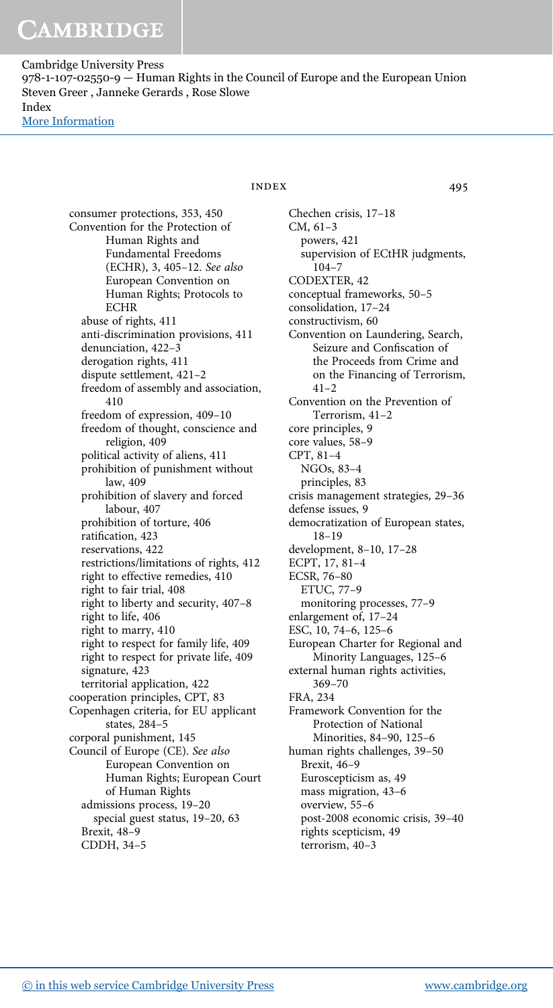Cambridge University Press 978-1-107-02550-9 — Human Rights in the Council of Europe and the European Union Steven Greer , Janneke Gerards , Rose Slowe Index [More Information](www.cambridge.org/9781107025509)

> consumer protections, 353, 450 Convention for the Protection of Human Rights and Fundamental Freedoms (ECHR), 3, 405–12. See also European Convention on Human Rights; Protocols to **ECHR** abuse of rights, 411 anti-discrimination provisions, 411 denunciation, 422–3 derogation rights, 411 dispute settlement, 421–2 freedom of assembly and association, 410 freedom of expression, 409–10 freedom of thought, conscience and religion, 409 political activity of aliens, 411 prohibition of punishment without law, 409 prohibition of slavery and forced labour, 407 prohibition of torture, 406 ratification, 423 reservations, 422 restrictions/limitations of rights, 412 right to effective remedies, 410 right to fair trial, 408 right to liberty and security, 407–8 right to life, 406 right to marry, 410 right to respect for family life, 409 right to respect for private life, 409 signature, 423 territorial application, 422 cooperation principles, CPT, 83 Copenhagen criteria, for EU applicant states, 284–5 corporal punishment, 145 Council of Europe (CE). See also European Convention on Human Rights; European Court of Human Rights admissions process, 19–20 special guest status, 19–20, 63 Brexit, 48–9 CDDH, 34–5

# INDEX 495

Chechen crisis, 17–18 CM, 61–3 powers, 421 supervision of ECtHR judgments, 104–7 CODEXTER, 42 conceptual frameworks, 50–5 consolidation, 17–24 constructivism, 60 Convention on Laundering, Search, Seizure and Confiscation of the Proceeds from Crime and on the Financing of Terrorism,  $41 - 2$ Convention on the Prevention of Terrorism, 41–2 core principles, 9 core values, 58–9 CPT, 81–4 NGOs, 83–4 principles, 83 crisis management strategies, 29–36 defense issues, 9 democratization of European states, 18–19 development, 8–10, 17–28 ECPT, 17, 81–4 ECSR, 76–80 ETUC, 77–9 monitoring processes, 77–9 enlargement of, 17–24 ESC, 10, 74–6, 125–6 European Charter for Regional and Minority Languages, 125–6 external human rights activities, 369–70 FRA, 234 Framework Convention for the Protection of National Minorities, 84–90, 125–6 human rights challenges, 39–50 Brexit, 46–9 Euroscepticism as, 49 mass migration, 43–6 overview, 55–6 post-2008 economic crisis, 39–40 rights scepticism, 49 terrorism, 40–3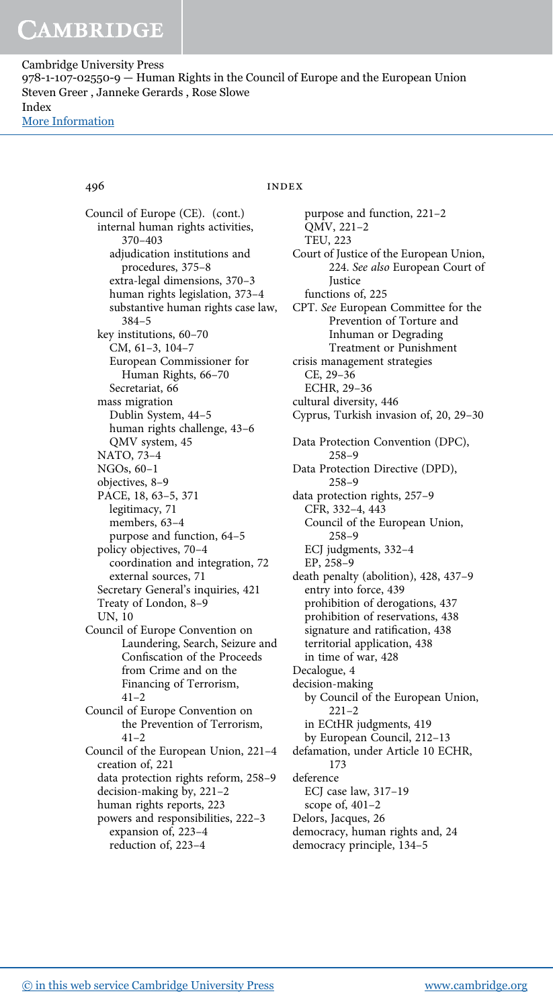Council of Europe (CE). (cont.) internal human rights activities, 370–403 adjudication institutions and procedures, 375–8 extra-legal dimensions, 370–3 human rights legislation, 373–4 substantive human rights case law, 384–5 key institutions, 60–70 CM, 61–3, 104–7 European Commissioner for Human Rights, 66–70 Secretariat, 66 mass migration Dublin System, 44–5 human rights challenge, 43–6 QMV system, 45 NATO, 73–4 NGOs, 60–1 objectives, 8–9 PACE, 18, 63–5, 371 legitimacy, 71 members, 63–4 purpose and function, 64–5 policy objectives, 70–4 coordination and integration, 72 external sources, 71 Secretary General's inquiries, 421 Treaty of London, 8–9 UN, 10 Council of Europe Convention on Laundering, Search, Seizure and Confiscation of the Proceeds from Crime and on the Financing of Terrorism, 41–2 Council of Europe Convention on the Prevention of Terrorism,  $41 - 2$ Council of the European Union, 221–4 creation of, 221 data protection rights reform, 258–9 decision-making by, 221–2 human rights reports, 223 powers and responsibilities, 222–3 expansion of, 223–4 reduction of, 223–4

# 496 INDEX

purpose and function, 221–2 QMV, 221–2 TEU, 223 Court of Justice of the European Union, 224. See also European Court of **Justice** functions of, 225 CPT. See European Committee for the Prevention of Torture and Inhuman or Degrading Treatment or Punishment crisis management strategies CE, 29–36 ECHR, 29–36 cultural diversity, 446 Cyprus, Turkish invasion of, 20, 29–30 Data Protection Convention (DPC), 258–9 Data Protection Directive (DPD), 258–9 data protection rights, 257–9 CFR, 332–4, 443 Council of the European Union, 258–9 ECJ judgments, 332–4 EP, 258–9 death penalty (abolition), 428, 437–9 entry into force, 439 prohibition of derogations, 437 prohibition of reservations, 438 signature and ratification, 438 territorial application, 438 in time of war, 428 Decalogue, 4 decision-making by Council of the European Union, 221–2 in ECtHR judgments, 419 by European Council, 212–13 defamation, under Article 10 ECHR, 173 deference ECJ case law, 317–19 scope of, 401–2 Delors, Jacques, 26 democracy, human rights and, 24 democracy principle, 134–5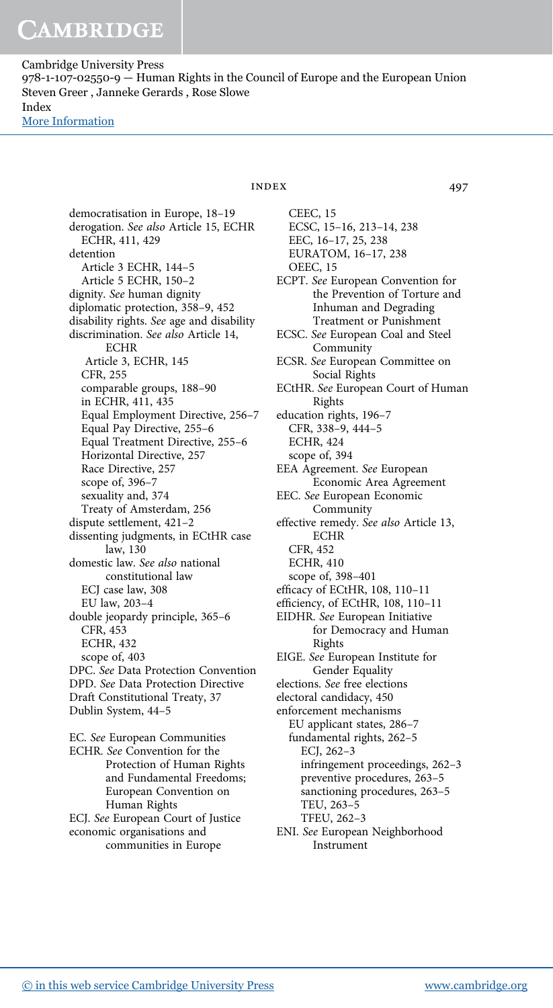Cambridge University Press 978-1-107-02550-9 — Human Rights in the Council of Europe and the European Union Steven Greer , Janneke Gerards , Rose Slowe Index [More Information](www.cambridge.org/9781107025509)

> democratisation in Europe, 18–19 derogation. See also Article 15, ECHR ECHR, 411, 429 detention Article 3 ECHR, 144–5 Article 5 ECHR, 150–2 dignity. See human dignity diplomatic protection, 358–9, 452 disability rights. See age and disability discrimination. See also Article 14, **ECHR** Article 3, ECHR, 145 CFR, 255 comparable groups, 188–90 in ECHR, 411, 435 Equal Employment Directive, 256–7 Equal Pay Directive, 255–6 Equal Treatment Directive, 255–6 Horizontal Directive, 257 Race Directive, 257 scope of, 396–7 sexuality and, 374 Treaty of Amsterdam, 256 dispute settlement, 421–2 dissenting judgments, in ECtHR case law, 130 domestic law. See also national constitutional law ECJ case law, 308 EU law, 203–4 double jeopardy principle, 365–6 CFR, 453 ECHR, 432 scope of, 403 DPC. See Data Protection Convention DPD. See Data Protection Directive Draft Constitutional Treaty, 37 Dublin System, 44–5 EC. See European Communities

ECHR. See Convention for the Protection of Human Rights and Fundamental Freedoms; European Convention on Human Rights ECJ. See European Court of Justice economic organisations and communities in Europe

# INDEX 497

CEEC, 15 ECSC, 15–16, 213–14, 238 EEC, 16–17, 25, 238 EURATOM, 16–17, 238 OEEC, 15 ECPT. See European Convention for the Prevention of Torture and Inhuman and Degrading Treatment or Punishment ECSC. See European Coal and Steel Community ECSR. See European Committee on Social Rights ECtHR. See European Court of Human Rights education rights, 196–7 CFR, 338–9, 444–5 ECHR, 424 scope of, 394 EEA Agreement. See European Economic Area Agreement EEC. See European Economic Community effective remedy. See also Article 13, ECHR CFR, 452 ECHR, 410 scope of, 398–401 efficacy of ECtHR, 108, 110–11 efficiency, of ECtHR, 108, 110–11 EIDHR. See European Initiative for Democracy and Human Rights EIGE. See European Institute for Gender Equality elections. See free elections electoral candidacy, 450 enforcement mechanisms EU applicant states, 286–7 fundamental rights, 262–5 ECJ, 262–3 infringement proceedings, 262–3 preventive procedures, 263–5 sanctioning procedures, 263–5 TEU, 263–5

TFEU, 262–3

ENI. See European Neighborhood Instrument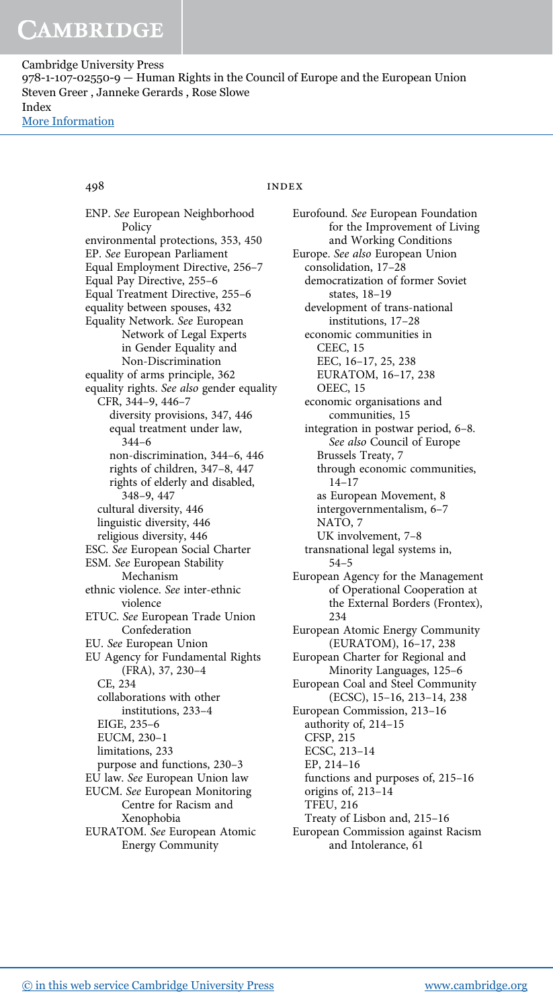# 498 INDEX

ENP. See European Neighborhood Policy environmental protections, 353, 450 EP. See European Parliament Equal Employment Directive, 256–7 Equal Pay Directive, 255–6 Equal Treatment Directive, 255–6 equality between spouses, 432 Equality Network. See European Network of Legal Experts in Gender Equality and Non-Discrimination equality of arms principle, 362 equality rights. See also gender equality CFR, 344–9, 446–7 diversity provisions, 347, 446 equal treatment under law, 344–6 non-discrimination, 344–6, 446 rights of children, 347–8, 447 rights of elderly and disabled, 348–9, 447 cultural diversity, 446 linguistic diversity, 446 religious diversity, 446 ESC. See European Social Charter ESM. See European Stability Mechanism ethnic violence. See inter-ethnic violence ETUC. See European Trade Union Confederation EU. See European Union EU Agency for Fundamental Rights (FRA), 37, 230–4 CE, 234 collaborations with other institutions, 233–4 EIGE, 235–6 EUCM, 230–1 limitations, 233 purpose and functions, 230–3 EU law. See European Union law EUCM. See European Monitoring Centre for Racism and Xenophobia EURATOM. See European Atomic Energy Community

Eurofound. See European Foundation for the Improvement of Living and Working Conditions Europe. See also European Union consolidation, 17–28 democratization of former Soviet states, 18–19 development of trans-national institutions, 17–28 economic communities in CEEC, 15 EEC, 16–17, 25, 238 EURATOM, 16–17, 238 OEEC, 15 economic organisations and communities, 15 integration in postwar period, 6–8. See also Council of Europe Brussels Treaty, 7 through economic communities, 14–17 as European Movement, 8 intergovernmentalism, 6–7 NATO, 7 UK involvement, 7–8 transnational legal systems in, 54–5 European Agency for the Management of Operational Cooperation at the External Borders (Frontex), 234 European Atomic Energy Community (EURATOM), 16–17, 238 European Charter for Regional and Minority Languages, 125–6 European Coal and Steel Community (ECSC), 15–16, 213–14, 238 European Commission, 213–16 authority of, 214–15 CFSP, 215 ECSC, 213–14 EP, 214–16 functions and purposes of, 215–16 origins of, 213–14 TFEU, 216 Treaty of Lisbon and, 215–16 European Commission against Racism and Intolerance, 61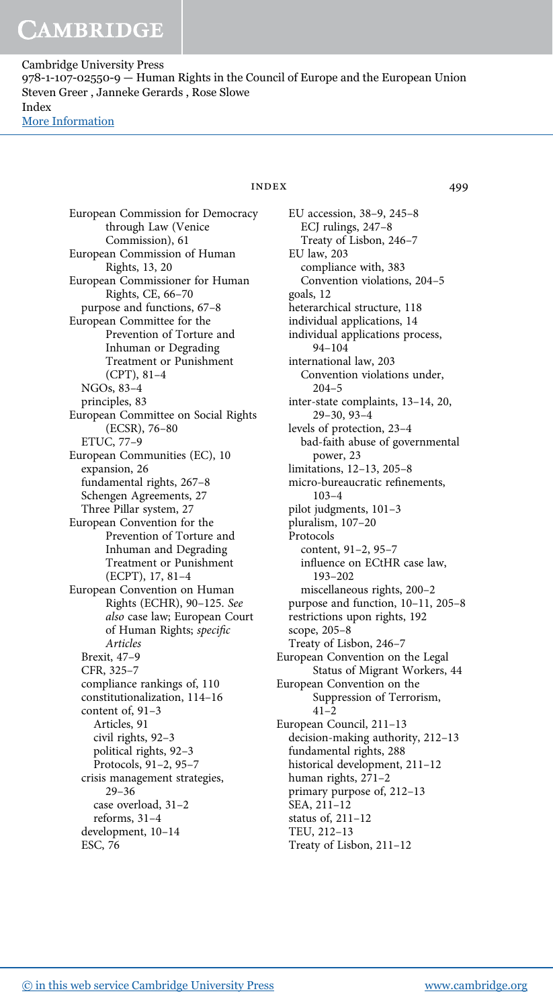> European Commission for Democracy through Law (Venice Commission), 61 European Commission of Human Rights, 13, 20 European Commissioner for Human Rights, CE, 66–70 purpose and functions, 67–8 European Committee for the Prevention of Torture and Inhuman or Degrading Treatment or Punishment (CPT), 81–4 NGOs, 83–4 principles, 83 European Committee on Social Rights (ECSR), 76–80 ETUC, 77–9 European Communities (EC), 10 expansion, 26 fundamental rights, 267–8 Schengen Agreements, 27 Three Pillar system, 27 European Convention for the Prevention of Torture and Inhuman and Degrading Treatment or Punishment (ECPT), 17, 81–4 European Convention on Human Rights (ECHR), 90–125. See also case law; European Court of Human Rights; specific Articles Brexit, 47–9 CFR, 325–7 compliance rankings of, 110 constitutionalization, 114–16 content of, 91–3 Articles, 91 civil rights, 92–3 political rights, 92–3 Protocols, 91–2, 95–7 crisis management strategies, 29–36 case overload, 31–2 reforms, 31–4 development, 10–14 ESC, 76

# INDEX 499

EU accession, 38–9, 245–8 ECJ rulings, 247–8 Treaty of Lisbon, 246–7 EU law, 203 compliance with, 383 Convention violations, 204–5 goals, 12 heterarchical structure, 118 individual applications, 14 individual applications process, 94–104 international law, 203 Convention violations under, 204–5 inter-state complaints, 13–14, 20, 29–30, 93–4 levels of protection, 23–4 bad-faith abuse of governmental power, 23 limitations, 12–13, 205–8 micro-bureaucratic refinements, 103–4 pilot judgments, 101–3 pluralism, 107–20 Protocols content, 91–2, 95–7 influence on ECtHR case law, 193–202 miscellaneous rights, 200–2 purpose and function, 10–11, 205–8 restrictions upon rights, 192 scope, 205–8 Treaty of Lisbon, 246–7 European Convention on the Legal Status of Migrant Workers, 44 European Convention on the Suppression of Terrorism,  $41 - 2$ European Council, 211–13 decision-making authority, 212–13 fundamental rights, 288 historical development, 211–12 human rights, 271–2 primary purpose of, 212–13 SEA, 211–12 status of, 211–12 TEU, 212–13 Treaty of Lisbon, 211–12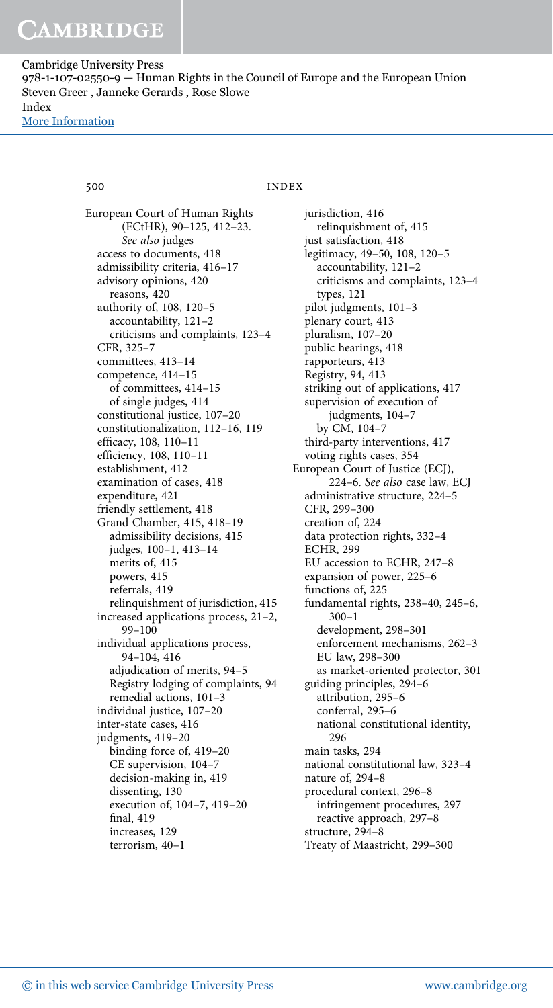# 500 INDEX

European Court of Human Rights (ECtHR), 90–125, 412–23. See also judges access to documents, 418 admissibility criteria, 416–17 advisory opinions, 420 reasons, 420 authority of, 108, 120–5 accountability, 121–2 criticisms and complaints, 123–4 CFR, 325–7 committees, 413–14 competence, 414–15 of committees, 414–15 of single judges, 414 constitutional justice, 107–20 constitutionalization, 112–16, 119 efficacy, 108, 110–11 efficiency, 108, 110–11 establishment, 412 examination of cases, 418 expenditure, 421 friendly settlement, 418 Grand Chamber, 415, 418–19 admissibility decisions, 415 judges, 100–1, 413–14 merits of, 415 powers, 415 referrals, 419 relinquishment of jurisdiction, 415 increased applications process, 21–2, 99–100 individual applications process, 94–104, 416 adjudication of merits, 94–5 Registry lodging of complaints, 94 remedial actions, 101–3 individual justice, 107–20 inter-state cases, 416 judgments, 419–20 binding force of, 419–20 CE supervision, 104–7 decision-making in, 419 dissenting, 130 execution of, 104–7, 419–20 final, 419 increases, 129 terrorism, 40–1

jurisdiction, 416 relinquishment of, 415 just satisfaction, 418 legitimacy, 49–50, 108, 120–5 accountability, 121–2 criticisms and complaints, 123–4 types, 121 pilot judgments, 101–3 plenary court, 413 pluralism, 107–20 public hearings, 418 rapporteurs, 413 Registry, 94, 413 striking out of applications, 417 supervision of execution of judgments, 104–7 by CM, 104–7 third-party interventions, 417 voting rights cases, 354 European Court of Justice (ECJ), 224–6. See also case law, ECJ administrative structure, 224–5 CFR, 299–300 creation of, 224 data protection rights, 332–4 ECHR, 299 EU accession to ECHR, 247–8 expansion of power, 225–6 functions of, 225 fundamental rights, 238–40, 245–6, 300–1 development, 298–301 enforcement mechanisms, 262–3 EU law, 298–300 as market-oriented protector, 301 guiding principles, 294–6 attribution, 295–6 conferral, 295–6 national constitutional identity, 296 main tasks, 294 national constitutional law, 323–4 nature of, 294–8 procedural context, 296–8 infringement procedures, 297 reactive approach, 297–8 structure, 294–8 Treaty of Maastricht, 299–300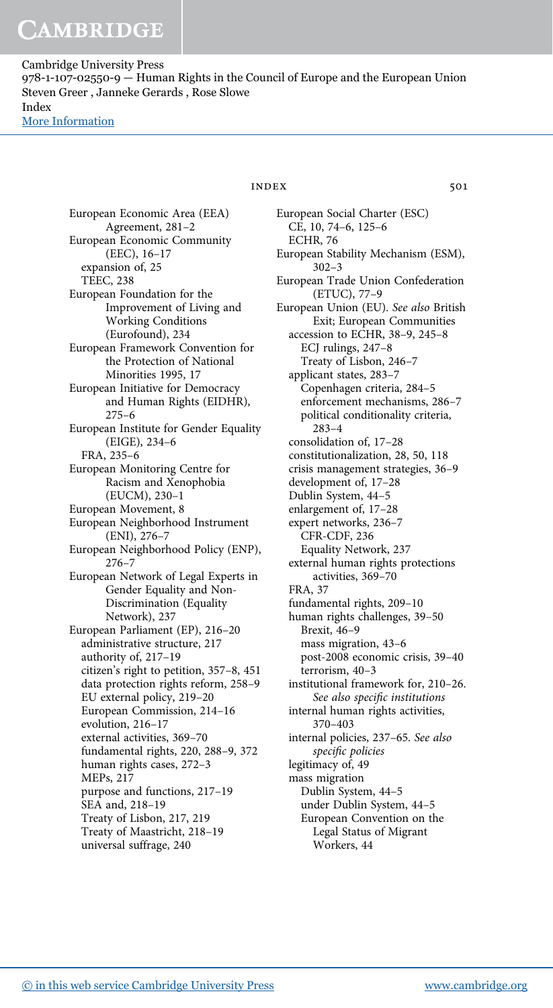Cambridge University Press 978-1-107-02550-9 — Human Rights in the Council of Europe and the European Union Steven Greer , Janneke Gerards , Rose Slowe Index [More Information](www.cambridge.org/9781107025509)

> European Economic Area (EEA) Agreement, 281–2 European Economic Community (EEC), 16–17 expansion of, 25 TEEC, 238 European Foundation for the Improvement of Living and Working Conditions (Eurofound), 234 European Framework Convention for the Protection of National Minorities 1995, 17 European Initiative for Democracy and Human Rights (EIDHR), 275–6 European Institute for Gender Equality (EIGE), 234–6 FRA, 235–6 European Monitoring Centre for Racism and Xenophobia (EUCM), 230–1 European Movement, 8 European Neighborhood Instrument (ENI), 276–7 European Neighborhood Policy (ENP), 276–7 European Network of Legal Experts in Gender Equality and Non-Discrimination (Equality Network), 237 European Parliament (EP), 216–20 administrative structure, 217 authority of, 217–19 citizen's right to petition, 357–8, 451 data protection rights reform, 258–9 EU external policy, 219–20 European Commission, 214–16 evolution, 216–17 external activities, 369–70 fundamental rights, 220, 288–9, 372 human rights cases, 272–3 MEPs, 217 purpose and functions, 217–19 SEA and, 218–19 Treaty of Lisbon, 217, 219 Treaty of Maastricht, 218–19 universal suffrage, 240

## INDEX 501

European Social Charter (ESC) CE, 10, 74–6, 125–6 ECHR, 76 European Stability Mechanism (ESM), 302–3 European Trade Union Confederation (ETUC), 77–9 European Union (EU). See also British Exit; European Communities accession to ECHR, 38–9, 245–8 ECJ rulings, 247–8 Treaty of Lisbon, 246–7 applicant states, 283–7 Copenhagen criteria, 284–5 enforcement mechanisms, 286–7 political conditionality criteria, 283–4 consolidation of, 17–28 constitutionalization, 28, 50, 118 crisis management strategies, 36–9 development of, 17–28 Dublin System, 44–5 enlargement of, 17–28 expert networks, 236–7 CFR-CDF, 236 Equality Network, 237 external human rights protections activities, 369–70 FRA, 37 fundamental rights, 209–10 human rights challenges, 39–50 Brexit, 46–9 mass migration, 43–6 post-2008 economic crisis, 39–40 terrorism, 40–3 institutional framework for, 210–26. See also specific institutions internal human rights activities, 370–403 internal policies, 237–65. See also specific policies legitimacy of, 49 mass migration Dublin System, 44–5 under Dublin System, 44–5 European Convention on the Legal Status of Migrant Workers, 44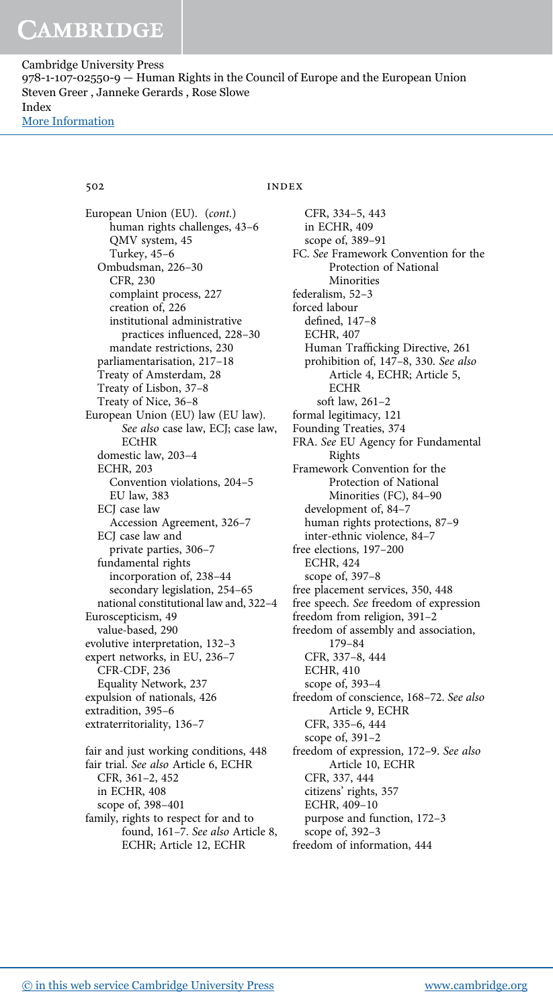European Union (EU). (cont.) human rights challenges, 43–6 QMV system, 45 Turkey, 45–6 Ombudsman, 226–30 CFR, 230 complaint process, 227 creation of, 226 institutional administrative practices influenced, 228–30 mandate restrictions, 230 parliamentarisation, 217–18 Treaty of Amsterdam, 28 Treaty of Lisbon, 37–8 Treaty of Nice, 36–8 European Union (EU) law (EU law). See also case law, ECJ; case law, **ECtHR** domestic law, 203–4 ECHR, 203 Convention violations, 204–5 EU law, 383 ECJ case law Accession Agreement, 326–7 ECJ case law and private parties, 306–7 fundamental rights incorporation of, 238–44 secondary legislation, 254–65 national constitutional law and, 322–4 Euroscepticism, 49 value-based, 290 evolutive interpretation, 132–3 expert networks, in EU, 236–7 CFR-CDF, 236 Equality Network, 237 expulsion of nationals, 426 extradition, 395–6 extraterritoriality, 136–7 fair and just working conditions, 448

fair trial. See also Article 6, ECHR CFR, 361–2, 452 in ECHR, 408 scope of, 398–401 family, rights to respect for and to found, 161–7. See also Article 8, ECHR; Article 12, ECHR

# 502 INDEX

CFR, 334–5, 443 in ECHR, 409 scope of, 389–91 FC. See Framework Convention for the Protection of National Minorities federalism, 52–3 forced labour defined, 147–8 ECHR, 407 Human Trafficking Directive, 261 prohibition of, 147–8, 330. See also Article 4, ECHR; Article 5, **ECHR** soft law, 261–2 formal legitimacy, 121 Founding Treaties, 374 FRA. See EU Agency for Fundamental Rights Framework Convention for the Protection of National Minorities (FC), 84–90 development of, 84–7 human rights protections, 87–9 inter-ethnic violence, 84–7 free elections, 197–200 ECHR, 424 scope of, 397–8 free placement services, 350, 448 free speech. See freedom of expression freedom from religion, 391–2 freedom of assembly and association, 179–84 CFR, 337–8, 444 ECHR, 410 scope of, 393–4 freedom of conscience, 168–72. See also Article 9, ECHR CFR, 335–6, 444 scope of, 391–2 freedom of expression, 172–9. See also Article 10, ECHR CFR, 337, 444 citizens' rights, 357 ECHR, 409–10 purpose and function, 172–3 scope of, 392–3 freedom of information, 444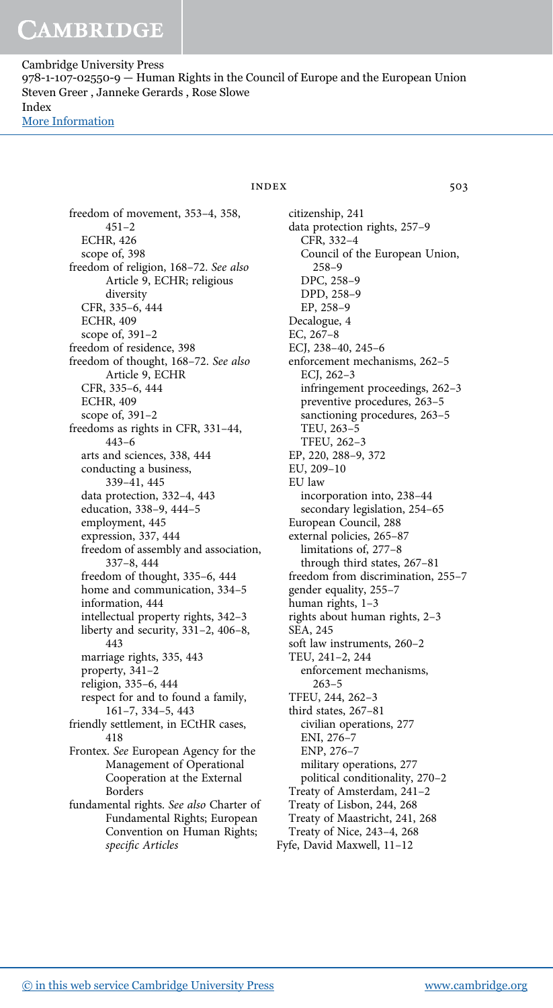Cambridge University Press 978-1-107-02550-9 — Human Rights in the Council of Europe and the European Union Steven Greer , Janneke Gerards , Rose Slowe Index [More Information](www.cambridge.org/9781107025509)

> freedom of movement, 353–4, 358, 451–2 ECHR, 426 scope of, 398 freedom of religion, 168–72. See also Article 9, ECHR; religious diversity CFR, 335–6, 444 ECHR, 409 scope of, 391–2 freedom of residence, 398 freedom of thought, 168–72. See also Article 9, ECHR CFR, 335–6, 444 ECHR, 409 scope of, 391–2 freedoms as rights in CFR, 331–44, 443–6 arts and sciences, 338, 444 conducting a business, 339–41, 445 data protection, 332–4, 443 education, 338–9, 444–5 employment, 445 expression, 337, 444 freedom of assembly and association, 337–8, 444 freedom of thought, 335–6, 444 home and communication, 334-5 information, 444 intellectual property rights, 342–3 liberty and security, 331–2, 406–8, 443 marriage rights, 335, 443 property, 341–2 religion, 335–6, 444 respect for and to found a family, 161–7, 334–5, 443 friendly settlement, in ECtHR cases, 418 Frontex. See European Agency for the Management of Operational Cooperation at the External Borders fundamental rights. See also Charter of Fundamental Rights; European Convention on Human Rights; specific Articles

 $INDEX$  503

citizenship, 241 data protection rights, 257–9 CFR, 332–4 Council of the European Union, 258–9 DPC, 258–9 DPD, 258–9 EP, 258–9 Decalogue, 4 EC, 267–8 ECJ, 238–40, 245–6 enforcement mechanisms, 262–5 ECJ, 262–3 infringement proceedings, 262–3 preventive procedures, 263–5 sanctioning procedures, 263–5 TEU, 263–5 TFEU, 262–3 EP, 220, 288–9, 372 EU, 209–10 EU law incorporation into, 238–44 secondary legislation, 254–65 European Council, 288 external policies, 265–87 limitations of, 277–8 through third states, 267–81 freedom from discrimination, 255–7 gender equality, 255–7 human rights, 1–3 rights about human rights, 2–3 SEA, 245 soft law instruments, 260–2 TEU, 241–2, 244 enforcement mechanisms, 263–5 TFEU, 244, 262–3 third states, 267–81 civilian operations, 277 ENI, 276–7 ENP, 276–7 military operations, 277 political conditionality, 270–2 Treaty of Amsterdam, 241–2 Treaty of Lisbon, 244, 268 Treaty of Maastricht, 241, 268 Treaty of Nice, 243–4, 268 Fyfe, David Maxwell, 11–12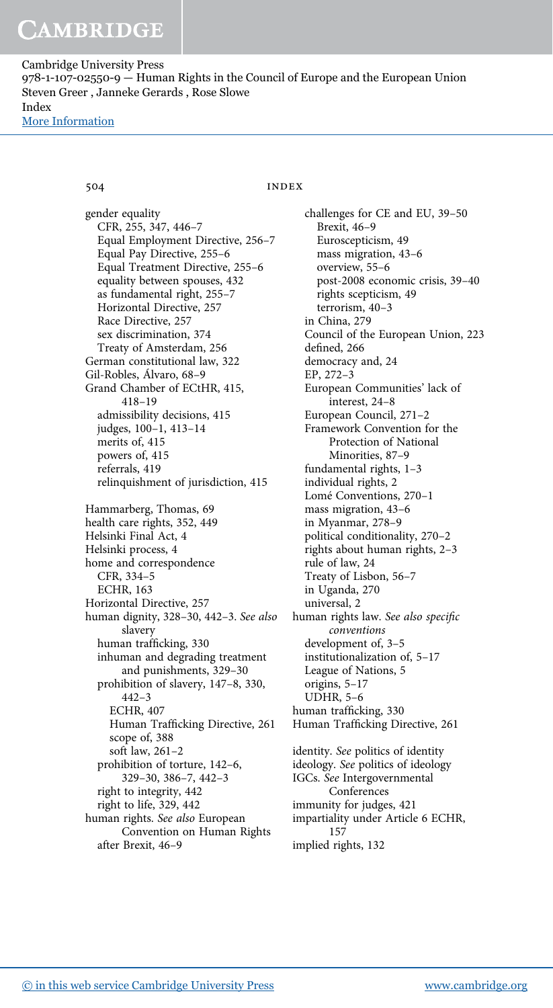# 504 INDEX

gender equality CFR, 255, 347, 446–7 Equal Employment Directive, 256–7 Equal Pay Directive, 255–6 Equal Treatment Directive, 255–6 equality between spouses, 432 as fundamental right, 255–7 Horizontal Directive, 257 Race Directive, 257 sex discrimination, 374 Treaty of Amsterdam, 256 German constitutional law, 322 Gil-Robles, Álvaro, 68–9 Grand Chamber of ECtHR, 415, 418–19 admissibility decisions, 415 judges, 100–1, 413–14 merits of, 415 powers of, 415 referrals, 419 relinquishment of jurisdiction, 415 Hammarberg, Thomas, 69 health care rights, 352, 449 Helsinki Final Act, 4 Helsinki process, 4 home and correspondence CFR, 334–5 ECHR, 163 Horizontal Directive, 257 human dignity, 328–30, 442–3. See also slavery human trafficking, 330 inhuman and degrading treatment and punishments, 329–30 prohibition of slavery, 147–8, 330, 442–3 ECHR, 407 Human Trafficking Directive, 261 scope of, 388 soft law, 261–2 prohibition of torture, 142–6, 329–30, 386–7, 442–3 right to integrity, 442 right to life, 329, 442 human rights. See also European Convention on Human Rights after Brexit, 46–9

challenges for CE and EU, 39–50 Brexit, 46–9 Euroscepticism, 49 mass migration, 43–6 overview, 55–6 post-2008 economic crisis, 39–40 rights scepticism, 49 terrorism, 40–3 in China, 279 Council of the European Union, 223 defined, 266 democracy and, 24 EP, 272–3 European Communities' lack of interest, 24–8 European Council, 271–2 Framework Convention for the Protection of National Minorities, 87–9 fundamental rights, 1–3 individual rights, 2 Lomé Conventions, 270–1 mass migration, 43–6 in Myanmar, 278–9 political conditionality, 270–2 rights about human rights, 2–3 rule of law, 24 Treaty of Lisbon, 56–7 in Uganda, 270 universal, 2 human rights law. See also specific conventions development of, 3–5 institutionalization of, 5–17 League of Nations, 5 origins, 5–17 UDHR, 5–6 human trafficking, 330 Human Trafficking Directive, 261 identity. See politics of identity ideology. See politics of ideology IGCs. See Intergovernmental Conferences immunity for judges, 421 impartiality under Article 6 ECHR, 157

implied rights, 132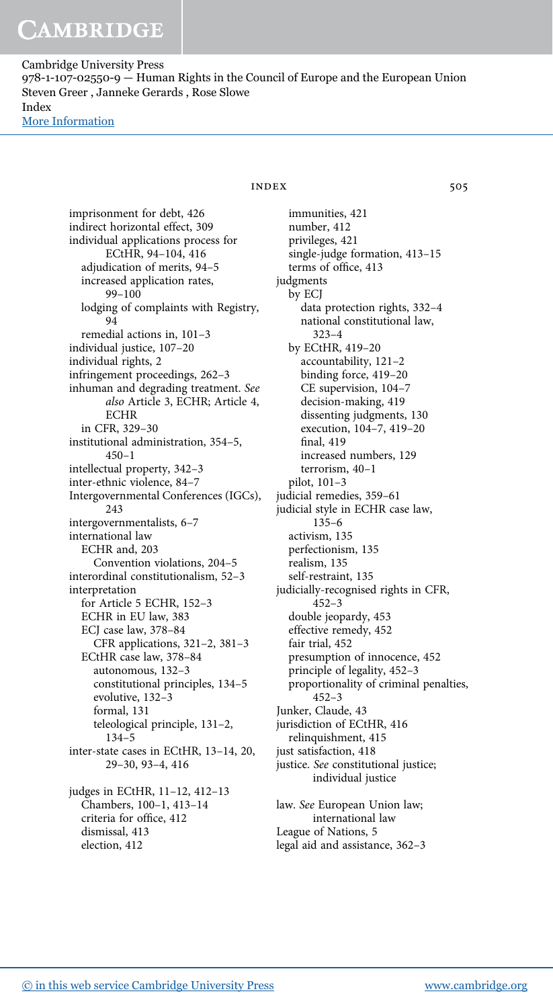Cambridge University Press 978-1-107-02550-9 — Human Rights in the Council of Europe and the European Union Steven Greer , Janneke Gerards , Rose Slowe Index [More Information](www.cambridge.org/9781107025509)

> imprisonment for debt, 426 indirect horizontal effect, 309 individual applications process for ECtHR, 94–104, 416 adjudication of merits, 94–5 increased application rates, 99–100 lodging of complaints with Registry, 94 remedial actions in, 101–3 individual justice, 107–20 individual rights, 2 infringement proceedings, 262–3 inhuman and degrading treatment. See also Article 3, ECHR; Article 4, ECHR in CFR, 329–30 institutional administration, 354–5, 450–1 intellectual property, 342–3 inter-ethnic violence, 84–7 Intergovernmental Conferences (IGCs), 243 intergovernmentalists, 6–7 international law ECHR and, 203 Convention violations, 204–5 interordinal constitutionalism, 52–3 interpretation for Article 5 ECHR, 152–3 ECHR in EU law, 383 ECJ case law, 378–84 CFR applications, 321–2, 381–3 ECtHR case law, 378–84 autonomous, 132–3 constitutional principles, 134–5 evolutive, 132–3 formal, 131 teleological principle, 131–2, 134–5 inter-state cases in ECtHR, 13–14, 20, 29–30, 93–4, 416 judges in ECtHR, 11–12, 412–13 Chambers, 100–1, 413–14 criteria for office, 412 dismissal, 413 election, 412

# $INDEX$  505

immunities, 421 number, 412 privileges, 421 single-judge formation, 413–15 terms of office, 413 judgments by ECJ data protection rights, 332–4 national constitutional law, 323–4 by ECtHR, 419–20 accountability, 121–2 binding force, 419–20 CE supervision, 104–7 decision-making, 419 dissenting judgments, 130 execution, 104–7, 419–20 final, 419 increased numbers, 129 terrorism, 40–1 pilot, 101–3 judicial remedies, 359–61 judicial style in ECHR case law, 135–6 activism, 135 perfectionism, 135 realism, 135 self-restraint, 135 judicially-recognised rights in CFR, 452–3 double jeopardy, 453 effective remedy, 452 fair trial, 452 presumption of innocence, 452 principle of legality, 452–3 proportionality of criminal penalties, 452–3 Junker, Claude, 43 jurisdiction of ECtHR, 416 relinquishment, 415 just satisfaction, 418 justice. See constitutional justice; individual justice law. See European Union law; international law League of Nations, 5

legal aid and assistance, 362–3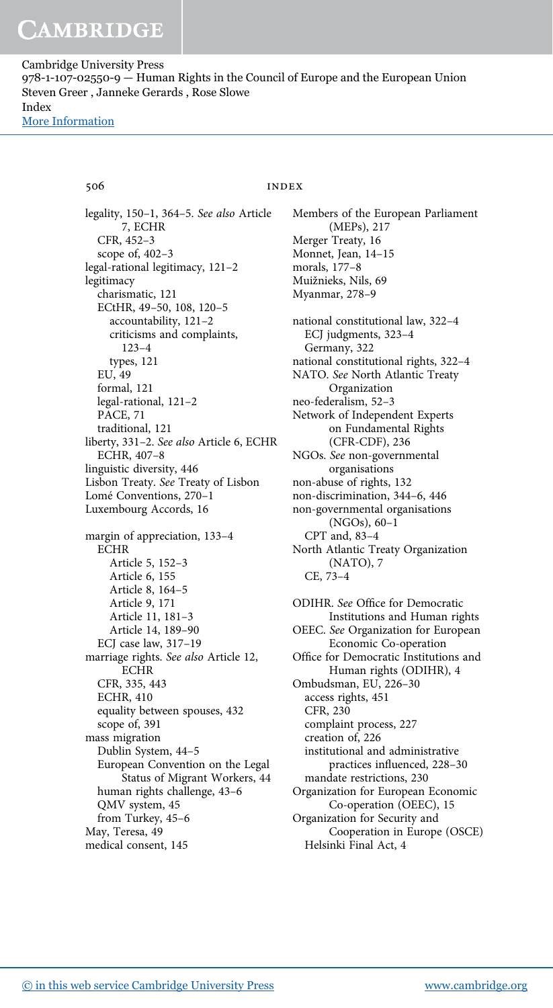# 506 INDEX

legality, 150–1, 364–5. See also Article 7, ECHR CFR, 452–3 scope of, 402–3 legal-rational legitimacy, 121–2 legitimacy charismatic, 121 ECtHR, 49–50, 108, 120–5 accountability, 121–2 criticisms and complaints, 123–4 types, 121 EU, 49 formal, 121 legal-rational, 121–2 PACE, 71 traditional, 121 liberty, 331–2. See also Article 6, ECHR ECHR, 407–8 linguistic diversity, 446 Lisbon Treaty. See Treaty of Lisbon Lomé Conventions, 270–1 Luxembourg Accords, 16 margin of appreciation, 133–4 ECHR Article 5, 152–3 Article 6, 155 Article 8, 164–5 Article 9, 171 Article 11, 181–3 Article 14, 189–90 ECJ case law, 317–19 marriage rights. See also Article 12, **ECHR** CFR, 335, 443 ECHR, 410 equality between spouses, 432 scope of, 391 mass migration Dublin System, 44–5 European Convention on the Legal Status of Migrant Workers, 44 human rights challenge, 43–6 QMV system, 45 from Turkey, 45–6 May, Teresa, 49 medical consent, 145

Members of the European Parliament (MEPs), 217 Merger Treaty, 16 Monnet, Jean, 14–15 morals, 177–8 Muižnieks, Nils, 69 Myanmar, 278–9 national constitutional law, 322–4 ECJ judgments, 323–4 Germany, 322 national constitutional rights, 322–4 NATO. See North Atlantic Treaty Organization neo-federalism, 52–3 Network of Independent Experts on Fundamental Rights (CFR-CDF), 236 NGOs. See non-governmental organisations non-abuse of rights, 132 non-discrimination, 344–6, 446 non-governmental organisations (NGOs), 60–1 CPT and, 83–4 North Atlantic Treaty Organization (NATO), 7 CE, 73–4 ODIHR. See Office for Democratic Institutions and Human rights OEEC. See Organization for European Economic Co-operation Office for Democratic Institutions and Human rights (ODIHR), 4 Ombudsman, EU, 226–30 access rights, 451 CFR, 230 complaint process, 227 creation of, 226

institutional and administrative practices influenced, 228–30

Cooperation in Europe (OSCE)

mandate restrictions, 230 Organization for European Economic Co-operation (OEEC), 15

Organization for Security and

Helsinki Final Act, 4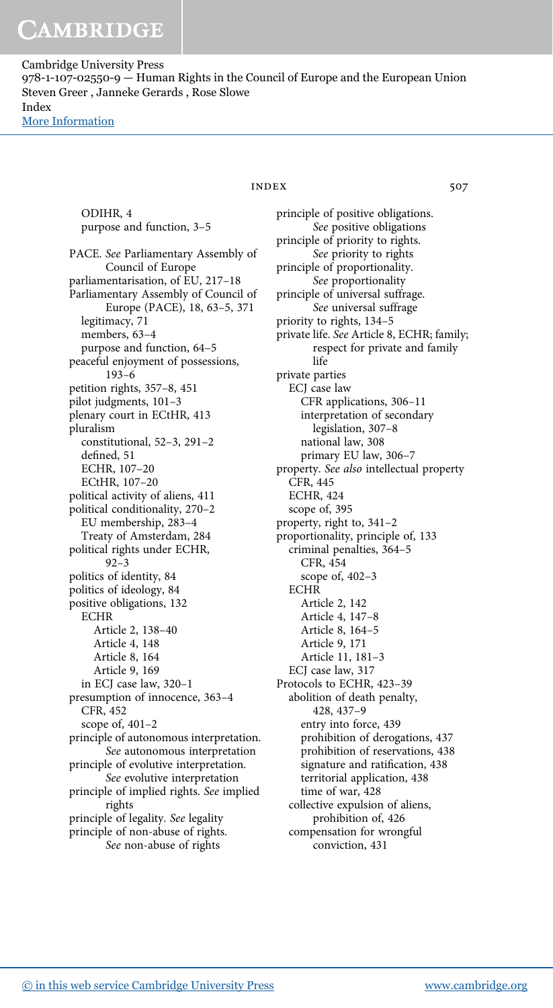> ODIHR, 4 purpose and function, 3–5 PACE. See Parliamentary Assembly of Council of Europe parliamentarisation, of EU, 217–18 Parliamentary Assembly of Council of Europe (PACE), 18, 63–5, 371 legitimacy, 71 members, 63–4 purpose and function, 64–5 peaceful enjoyment of possessions, 193–6 petition rights, 357–8, 451 pilot judgments, 101–3 plenary court in ECtHR, 413 pluralism constitutional, 52–3, 291–2 defined, 51 ECHR, 107–20 ECtHR, 107–20 political activity of aliens, 411 political conditionality, 270–2 EU membership, 283–4 Treaty of Amsterdam, 284 political rights under ECHR, 92–3 politics of identity, 84 politics of ideology, 84 positive obligations, 132 **ECHR** Article 2, 138–40 Article 4, 148 Article 8, 164 Article 9, 169 in ECJ case law, 320–1 presumption of innocence, 363–4 CFR, 452 scope of, 401–2 principle of autonomous interpretation. See autonomous interpretation principle of evolutive interpretation. See evolutive interpretation principle of implied rights. See implied rights principle of legality. See legality principle of non-abuse of rights. See non-abuse of rights

# INDEX 507

principle of positive obligations. See positive obligations principle of priority to rights. See priority to rights principle of proportionality. See proportionality principle of universal suffrage. See universal suffrage priority to rights, 134–5 private life. See Article 8, ECHR; family; respect for private and family life private parties ECJ case law CFR applications, 306–11 interpretation of secondary legislation, 307–8 national law, 308 primary EU law, 306–7 property. See also intellectual property CFR, 445 ECHR, 424 scope of, 395 property, right to, 341–2 proportionality, principle of, 133 criminal penalties, 364–5 CFR, 454 scope of, 402–3 **ECHR** Article 2, 142 Article 4, 147–8 Article 8, 164–5 Article 9, 171 Article 11, 181–3 ECJ case law, 317 Protocols to ECHR, 423–39 abolition of death penalty, 428, 437–9 entry into force, 439 prohibition of derogations, 437 prohibition of reservations, 438 signature and ratification, 438 territorial application, 438 time of war, 428 collective expulsion of aliens, prohibition of, 426 compensation for wrongful conviction, 431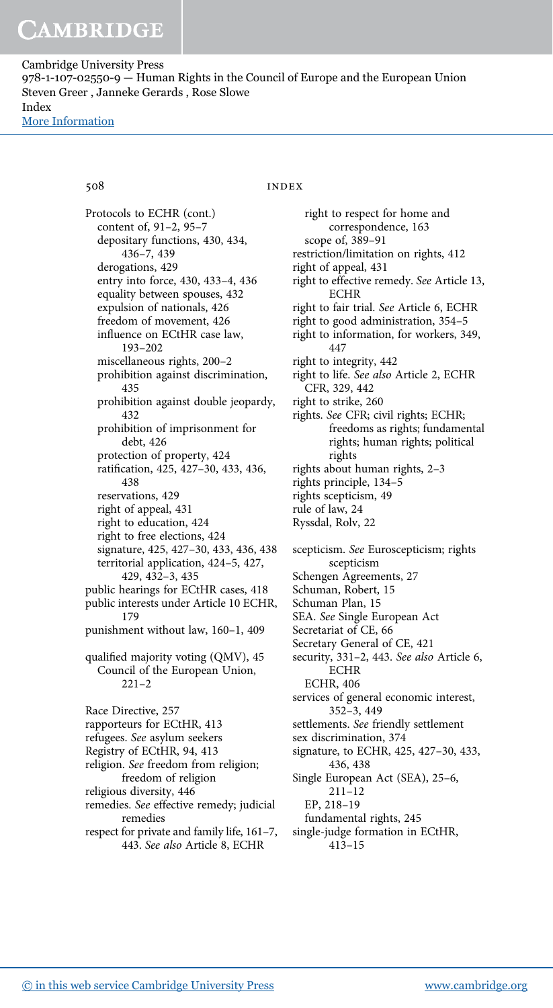Protocols to ECHR (cont.) content of, 91–2, 95–7 depositary functions, 430, 434, 436–7, 439 derogations, 429 entry into force, 430, 433–4, 436 equality between spouses, 432 expulsion of nationals, 426 freedom of movement, 426 influence on ECtHR case law, 193–202 miscellaneous rights, 200–2 prohibition against discrimination, 435 prohibition against double jeopardy, 432 prohibition of imprisonment for debt, 426 protection of property, 424 ratification, 425, 427–30, 433, 436, 438 reservations, 429 right of appeal, 431 right to education, 424 right to free elections, 424 signature, 425, 427–30, 433, 436, 438 territorial application, 424–5, 427, 429, 432–3, 435 public hearings for ECtHR cases, 418 public interests under Article 10 ECHR, 179 punishment without law, 160–1, 409 qualified majority voting (QMV), 45 Council of the European Union,  $221 - 2$ Race Directive, 257 rapporteurs for ECtHR, 413 refugees. See asylum seekers Registry of ECtHR, 94, 413 religion. See freedom from religion; freedom of religion religious diversity, 446 remedies. See effective remedy; judicial remedies respect for private and family life, 161–7,

443. See also Article 8, ECHR

# 508 INDEX

right to respect for home and correspondence, 163 scope of, 389–91 restriction/limitation on rights, 412 right of appeal, 431 right to effective remedy. See Article 13, ECHR right to fair trial. See Article 6, ECHR right to good administration, 354–5 right to information, for workers, 349, 447 right to integrity, 442 right to life. See also Article 2, ECHR CFR, 329, 442 right to strike, 260 rights. See CFR; civil rights; ECHR; freedoms as rights; fundamental rights; human rights; political rights rights about human rights, 2–3 rights principle, 134–5 rights scepticism, 49 rule of law, 24 Ryssdal, Rolv, 22 scepticism. See Euroscepticism; rights scepticism Schengen Agreements, 27 Schuman, Robert, 15 Schuman Plan, 15 SEA. See Single European Act Secretariat of CE, 66 Secretary General of CE, 421 security, 331–2, 443. See also Article 6, **ECHR** ECHR, 406 services of general economic interest, 352–3, 449 settlements. See friendly settlement sex discrimination, 374 signature, to ECHR, 425, 427–30, 433, 436, 438 Single European Act (SEA), 25–6, 211–12 EP, 218–19 fundamental rights, 245 single-judge formation in ECtHR,

413–15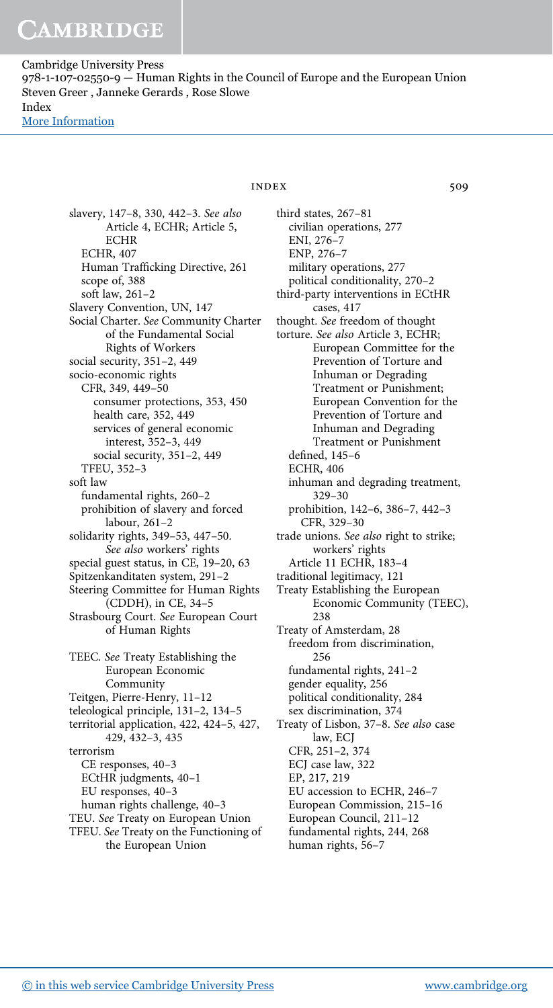> slavery, 147–8, 330, 442–3. See also Article 4, ECHR; Article 5, ECHR ECHR, 407 Human Trafficking Directive, 261 scope of, 388 soft law, 261–2 Slavery Convention, UN, 147 Social Charter. See Community Charter of the Fundamental Social Rights of Workers social security, 351–2, 449 socio-economic rights CFR, 349, 449–50 consumer protections, 353, 450 health care, 352, 449 services of general economic interest, 352–3, 449 social security, 351–2, 449 TFEU, 352–3 soft law fundamental rights, 260–2 prohibition of slavery and forced labour, 261–2 solidarity rights, 349–53, 447–50. See also workers' rights special guest status, in CE, 19–20, 63 Spitzenkanditaten system, 291–2 Steering Committee for Human Rights (CDDH), in CE, 34–5 Strasbourg Court. See European Court of Human Rights TEEC. See Treaty Establishing the European Economic Community Teitgen, Pierre-Henry, 11–12 teleological principle, 131–2, 134–5 territorial application, 422, 424–5, 427, 429, 432–3, 435 terrorism CE responses, 40–3 ECtHR judgments, 40–1 EU responses, 40–3 human rights challenge, 40–3 TEU. See Treaty on European Union TFEU. See Treaty on the Functioning of the European Union

# INDEX 509

third states, 267–81 civilian operations, 277 ENI, 276–7 ENP, 276–7 military operations, 277 political conditionality, 270–2 third-party interventions in ECtHR cases, 417 thought. See freedom of thought torture. See also Article 3, ECHR; European Committee for the Prevention of Torture and Inhuman or Degrading Treatment or Punishment; European Convention for the Prevention of Torture and Inhuman and Degrading Treatment or Punishment defined, 145–6 ECHR, 406 inhuman and degrading treatment, 329–30 prohibition, 142–6, 386–7, 442–3 CFR, 329–30 trade unions. See also right to strike; workers' rights Article 11 ECHR, 183–4 traditional legitimacy, 121 Treaty Establishing the European Economic Community (TEEC), 238 Treaty of Amsterdam, 28 freedom from discrimination, 256 fundamental rights, 241–2 gender equality, 256 political conditionality, 284 sex discrimination, 374 Treaty of Lisbon, 37–8. See also case law, ECJ CFR, 251–2, 374 ECJ case law, 322 EP, 217, 219 EU accession to ECHR, 246–7 European Commission, 215–16 European Council, 211–12 fundamental rights, 244, 268 human rights, 56–7